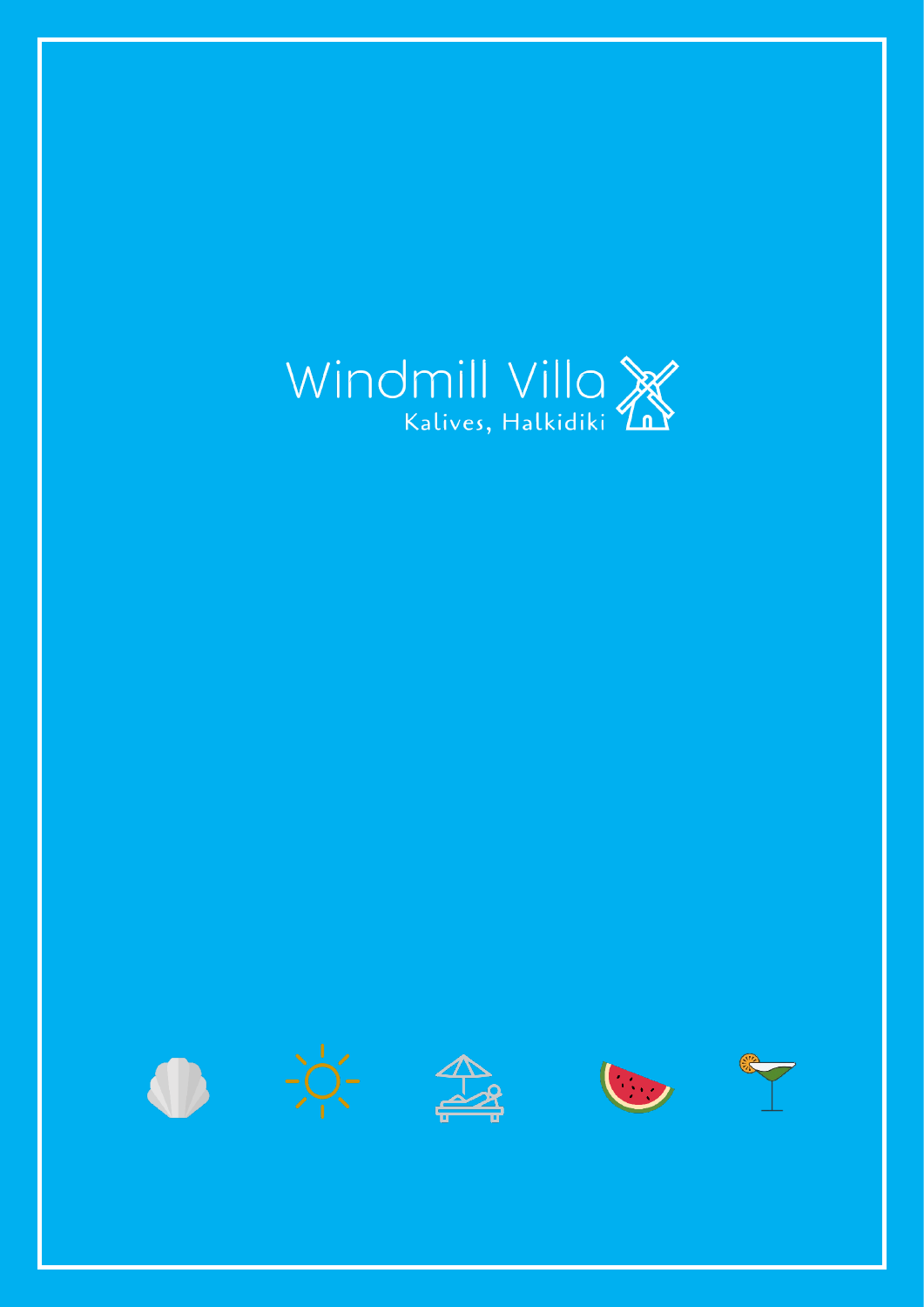









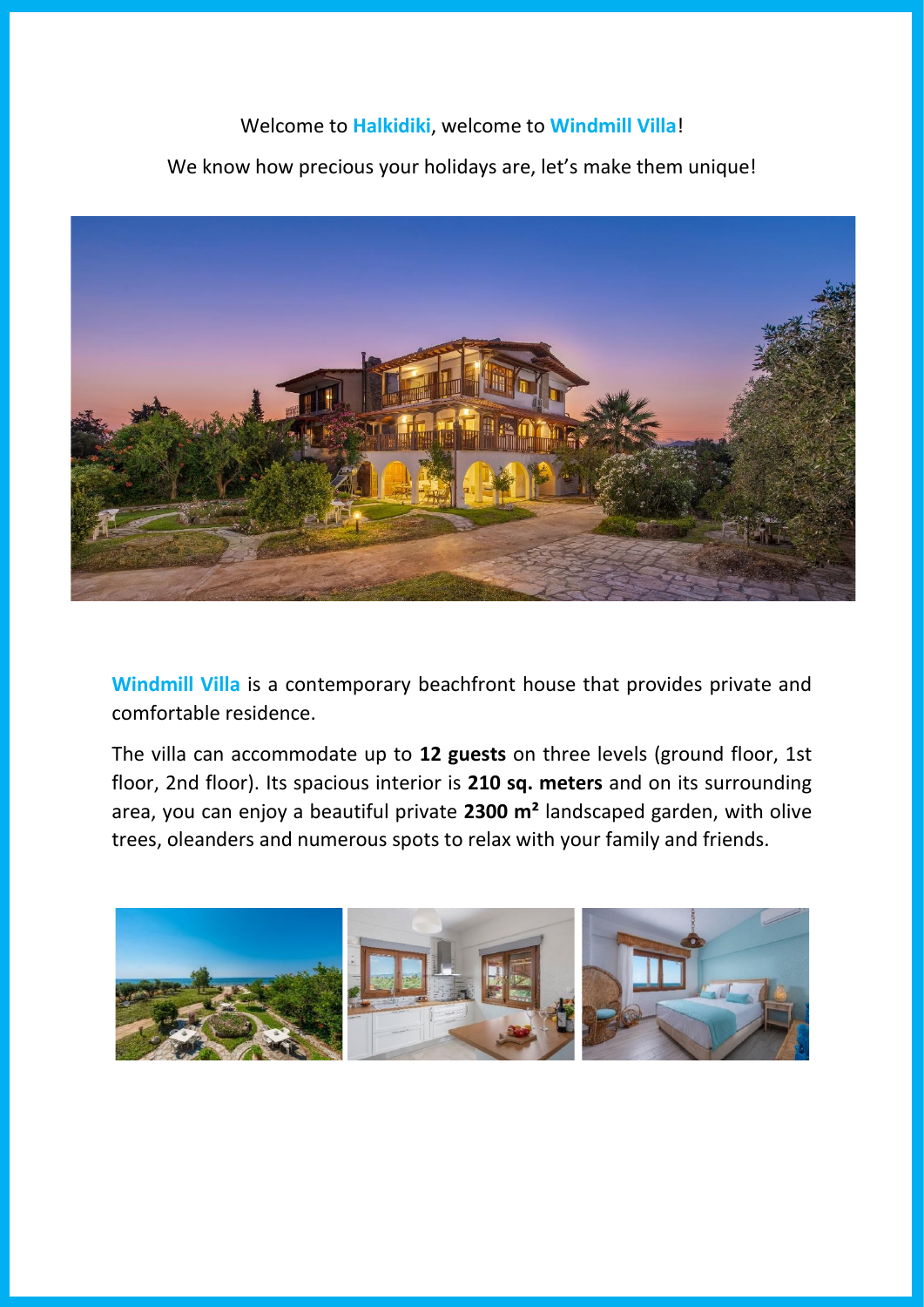## Welcome to **Halkidiki**, welcome to **Windmill Villa**!

We know how precious your holidays are, let's make them unique!



**Windmill Villa** is a contemporary beachfront house that provides private and comfortable residence.

The villa can accommodate up to **12 guests** on three levels (ground floor, 1st floor, 2nd floor). Its spacious interior is **210 sq. meters** and on its surrounding area, you can enjoy a beautiful private **2300 m²** landscaped garden, with olive trees, oleanders and numerous spots to relax with your family and friends.

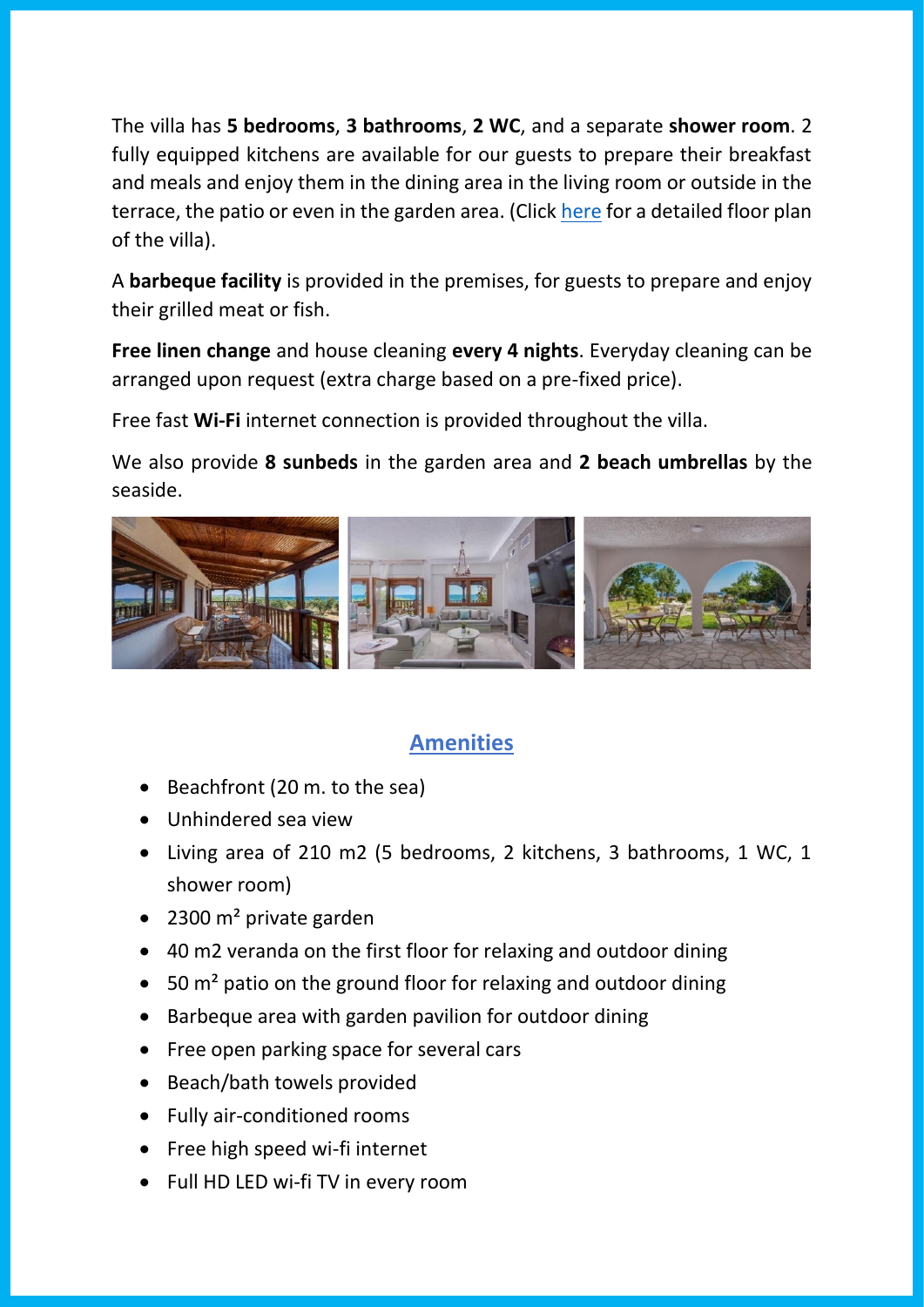The villa has **5 bedrooms**, **3 bathrooms**, **2 WC**, and a separate **shower room**. 2 fully equipped kitchens are available for our guests to prepare their breakfast and meals and enjoy them in the dining area in the living room or outside in the terrace, the patio or even in the garden area. (Click [here](http://www.wmvilla.gr/villa%20layout/) for a detailed floor plan of the villa).

A **barbeque facility** is provided in the premises, for guests to prepare and enjoy their grilled meat or fish.

**Free linen change** and house cleaning **every 4 nights**. Everyday cleaning can be arranged upon request (extra charge based on a pre-fixed price).

Free fast **Wi-Fi** internet connection is provided throughout the villa.

We also provide **8 sunbeds** in the garden area and **2 beach umbrellas** by the seaside.



## **Amenities**

- Beachfront (20 m. to the sea)
- Unhindered sea view
- Living area of 210 m2 (5 bedrooms, 2 kitchens, 3 bathrooms, 1 WC, 1 shower room)
- 2300 m<sup>2</sup> private garden
- 40 m2 veranda on the first floor for relaxing and outdoor dining
- 50 m<sup>2</sup> patio on the ground floor for relaxing and outdoor dining
- Barbeque area with garden pavilion for outdoor dining
- Free open parking space for several cars
- Beach/bath towels provided
- Fully air-conditioned rooms
- Free high speed wi-fi internet
- Full HD LED wi-fi TV in every room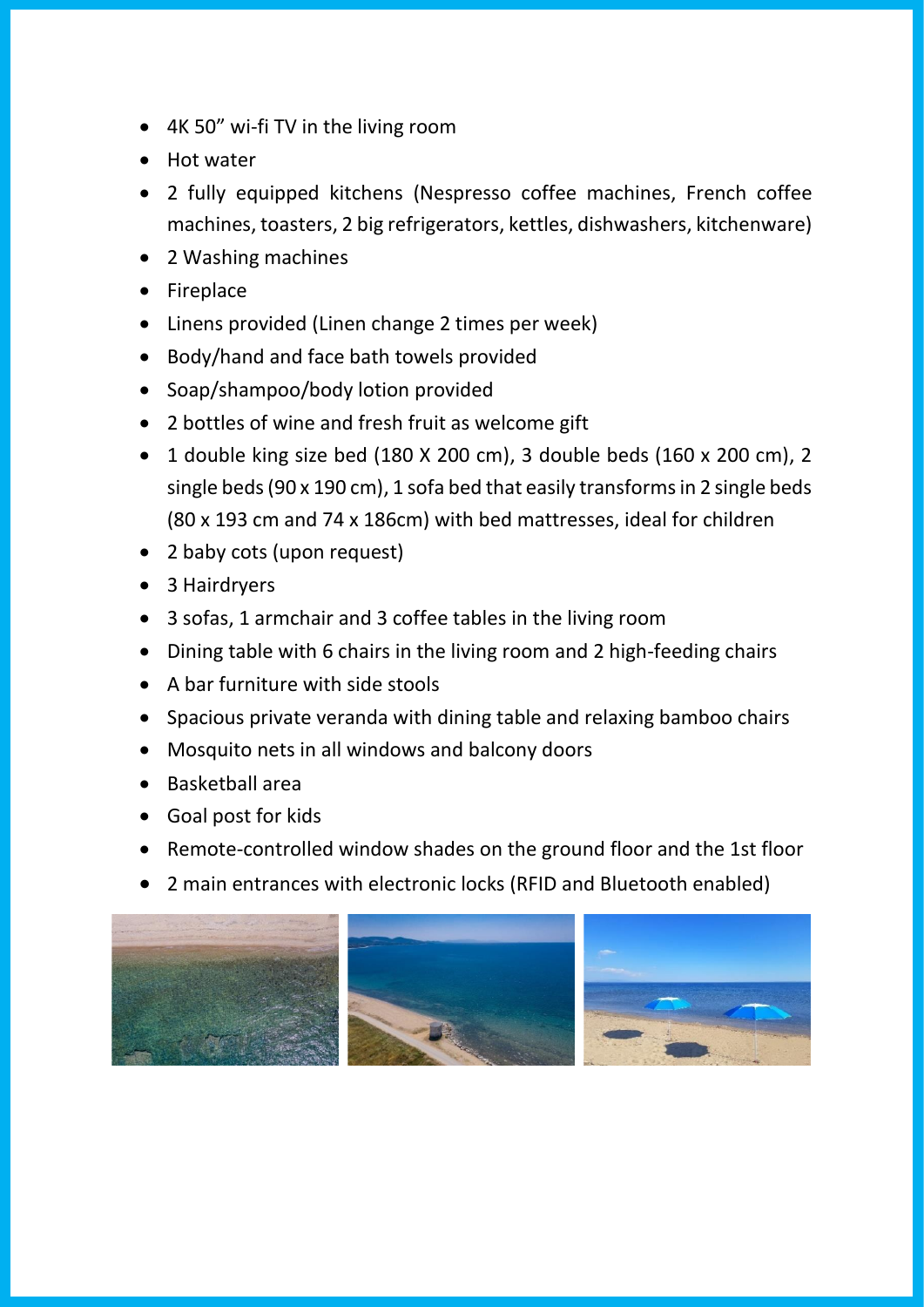- 4K 50" wi-fi TV in the living room
- Hot water
- 2 fully equipped kitchens (Nespresso coffee machines, French coffee machines, toasters, 2 big refrigerators, kettles, dishwashers, kitchenware)
- 2 Washing machines
- Fireplace
- Linens provided (Linen change 2 times per week)
- Body/hand and face bath towels provided
- Soap/shampoo/body lotion provided
- 2 bottles of wine and fresh fruit as welcome gift
- 1 double king size bed (180 X 200 cm), 3 double beds (160 x 200 cm), 2 single beds (90 x 190 cm), 1 sofa bed that easily transforms in 2 single beds (80 x 193 cm and 74 x 186cm) with bed mattresses, ideal for children
- 2 baby cots (upon request)
- 3 Hairdryers
- 3 sofas, 1 armchair and 3 coffee tables in the living room
- Dining table with 6 chairs in the living room and 2 high-feeding chairs
- A bar furniture with side stools
- Spacious private veranda with dining table and relaxing bamboo chairs
- Mosquito nets in all windows and balcony doors
- Basketball area
- Goal post for kids
- Remote-controlled window shades on the ground floor and the 1st floor
- 2 main entrances with electronic locks (RFID and Bluetooth enabled)

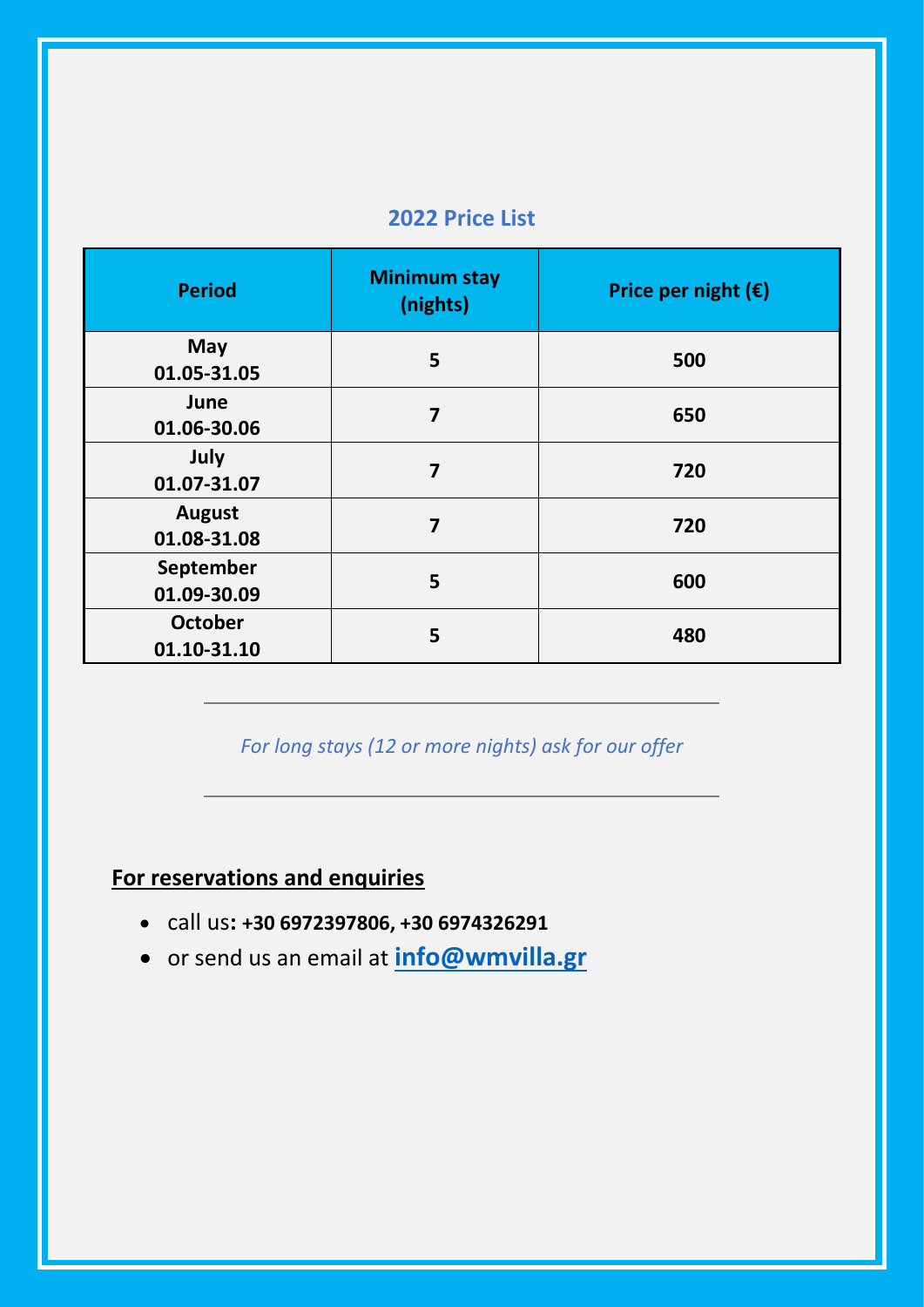## **2022 Price List**

| <b>Period</b>                 | <b>Minimum stay</b><br>(nights) | Price per night $(\epsilon)$ |
|-------------------------------|---------------------------------|------------------------------|
| <b>May</b><br>01.05-31.05     | 5                               | 500                          |
| June<br>01.06-30.06           | $\overline{7}$                  | 650                          |
| July<br>01.07-31.07           | $\overline{\mathbf{z}}$         | 720                          |
| <b>August</b><br>01.08-31.08  | $\overline{7}$                  | 720                          |
| September<br>01.09-30.09      | 5                               | 600                          |
| <b>October</b><br>01.10-31.10 | 5                               | 480                          |

*For long stays (12 or more nights) ask for our offer*

## **For reservations and enquiries**

- call us**: +30 6972397806, +30 6974326291**
- or send us an email at **[info@wmvilla.gr](mailto:info@wmvilla.gr)**